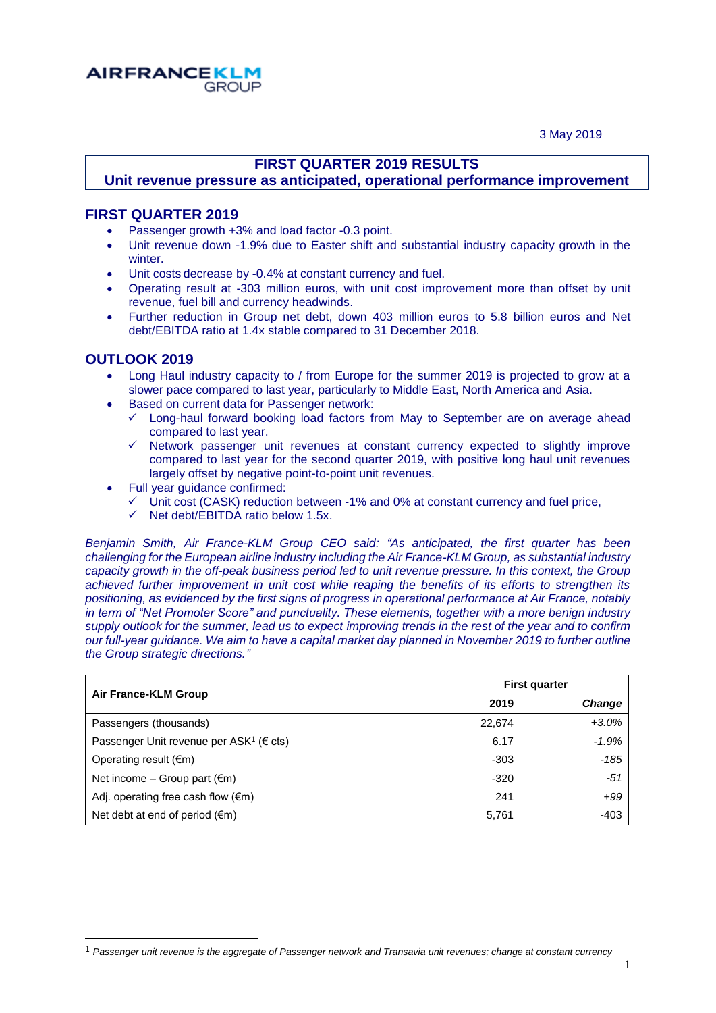3 May 2019



## **FIRST QUARTER 2019 RESULTS**

## **Unit revenue pressure as anticipated, operational performance improvement**

### **FIRST QUARTER 2019**

- Passenger growth +3% and load factor -0.3 point.
- Unit revenue down -1.9% due to Easter shift and substantial industry capacity growth in the **winter**
- Unit costs decrease by -0.4% at constant currency and fuel.
- Operating result at -303 million euros, with unit cost improvement more than offset by unit revenue, fuel bill and currency headwinds.
- Further reduction in Group net debt, down 403 million euros to 5.8 billion euros and Net debt/EBITDA ratio at 1.4x stable compared to 31 December 2018.

### **OUTLOOK 2019**

 $\overline{\phantom{a}}$ 

- Long Haul industry capacity to / from Europe for the summer 2019 is projected to grow at a slower pace compared to last year, particularly to Middle East, North America and Asia.
- Based on current data for Passenger network:
	- $\checkmark$  Long-haul forward booking load factors from May to September are on average ahead compared to last year.
	- $\checkmark$  Network passenger unit revenues at constant currency expected to slightly improve compared to last year for the second quarter 2019, with positive long haul unit revenues largely offset by negative point-to-point unit revenues.
- Full year guidance confirmed:
	- $\checkmark$  Unit cost (CASK) reduction between -1% and 0% at constant currency and fuel price,
	- $\checkmark$  Net debt/EBITDA ratio below 1.5x.

*Benjamin Smith, Air France-KLM Group CEO said: "As anticipated, the first quarter has been challenging for the European airline industry including the Air France-KLM Group, as substantial industry capacity growth in the off-peak business period led to unit revenue pressure. In this context, the Group achieved further improvement in unit cost while reaping the benefits of its efforts to strengthen its positioning, as evidenced by the first signs of progress in operational performance at Air France, notably in term of "Net Promoter Score" and punctuality. These elements, together with a more benign industry supply outlook for the summer, lead us to expect improving trends in the rest of the year and to confirm our full-year guidance. We aim to have a capital market day planned in November 2019 to further outline the Group strategic directions."*

|                                                               | <b>First quarter</b> |               |  |
|---------------------------------------------------------------|----------------------|---------------|--|
| Air France-KLM Group                                          | 2019                 | <b>Change</b> |  |
| Passengers (thousands)                                        | 22,674               | $+3.0\%$      |  |
| Passenger Unit revenue per ASK <sup>1</sup> ( $\epsilon$ cts) | 6.17                 | $-1.9%$       |  |
| Operating result $(\epsilon m)$                               | $-303$               | $-185$        |  |
| Net income – Group part $(\epsilon m)$                        | $-320$               | $-51$         |  |
| Adj. operating free cash flow $(\epsilon m)$                  | 241                  | $+99$         |  |
| Net debt at end of period $(\epsilon m)$                      | 5,761                | -403          |  |

<sup>1</sup> *Passenger unit revenue is the aggregate of Passenger network and Transavia unit revenues; change at constant currency*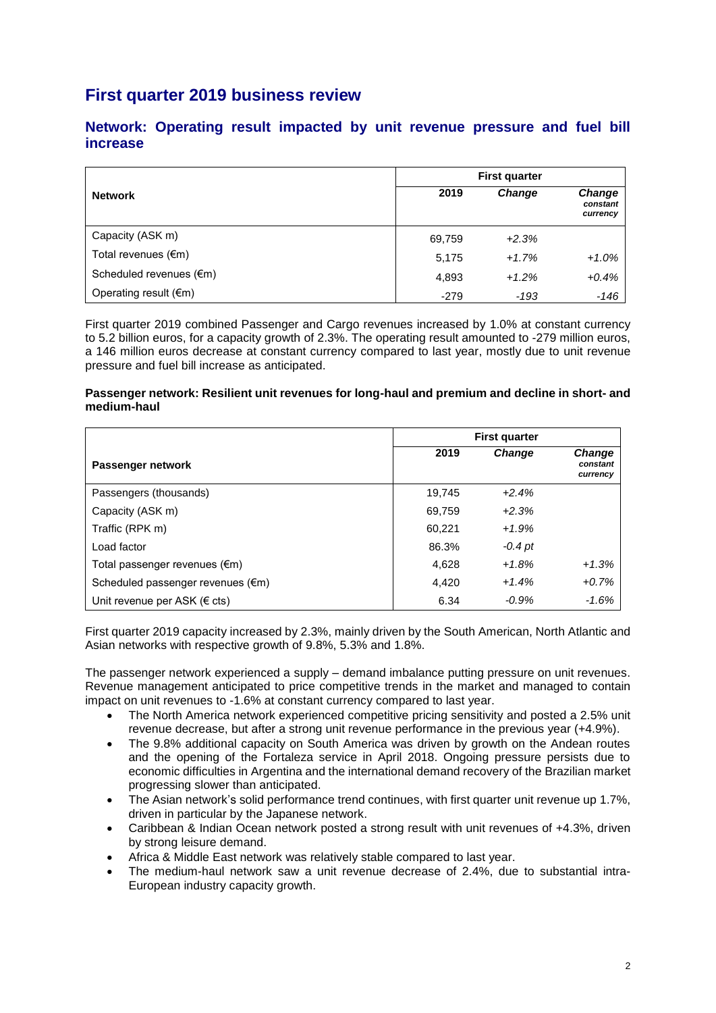# **First quarter 2019 business review**

|                                 |        | <b>First quarter</b> |                                |  |
|---------------------------------|--------|----------------------|--------------------------------|--|
| <b>Network</b>                  | 2019   | <b>Change</b>        | Change<br>constant<br>currency |  |
| Capacity (ASK m)                | 69,759 | $+2.3%$              |                                |  |
| Total revenues $(\epsilon m)$   | 5,175  | $+1.7%$              | $+1.0%$                        |  |
| Scheduled revenues (€m)         | 4,893  | $+1.2%$              | $+0.4%$                        |  |
| Operating result $(\epsilon m)$ | $-279$ | -193                 | $-146$                         |  |

### **Network: Operating result impacted by unit revenue pressure and fuel bill increase**

First quarter 2019 combined Passenger and Cargo revenues increased by 1.0% at constant currency to 5.2 billion euros, for a capacity growth of 2.3%. The operating result amounted to -279 million euros, a 146 million euros decrease at constant currency compared to last year, mostly due to unit revenue pressure and fuel bill increase as anticipated.

#### **Passenger network: Resilient unit revenues for long-haul and premium and decline in short- and medium-haul**

|                                   | <b>First quarter</b> |               |                                       |
|-----------------------------------|----------------------|---------------|---------------------------------------|
| Passenger network                 | 2019                 | <b>Change</b> | <b>Change</b><br>constant<br>currency |
| Passengers (thousands)            | 19.745               | $+2.4%$       |                                       |
| Capacity (ASK m)                  | 69,759               | $+2.3%$       |                                       |
| Traffic (RPK m)                   | 60,221               | $+1.9%$       |                                       |
| Load factor                       | 86.3%                | $-0.4$ pt     |                                       |
| Total passenger revenues (€m)     | 4,628                | $+1.8%$       | $+1.3%$                               |
| Scheduled passenger revenues (€m) | 4,420                | $+1.4%$       | $+0.7%$                               |
| Unit revenue per ASK ( $\in$ cts) | 6.34                 | $-0.9\%$      | $-1.6%$                               |

First quarter 2019 capacity increased by 2.3%, mainly driven by the South American, North Atlantic and Asian networks with respective growth of 9.8%, 5.3% and 1.8%.

The passenger network experienced a supply – demand imbalance putting pressure on unit revenues. Revenue management anticipated to price competitive trends in the market and managed to contain impact on unit revenues to -1.6% at constant currency compared to last year.

- The North America network experienced competitive pricing sensitivity and posted a 2.5% unit revenue decrease, but after a strong unit revenue performance in the previous year (+4.9%).
- The 9.8% additional capacity on South America was driven by growth on the Andean routes and the opening of the Fortaleza service in April 2018. Ongoing pressure persists due to economic difficulties in Argentina and the international demand recovery of the Brazilian market progressing slower than anticipated.
- The Asian network's solid performance trend continues, with first quarter unit revenue up 1.7%, driven in particular by the Japanese network.
- Caribbean & Indian Ocean network posted a strong result with unit revenues of +4.3%, driven by strong leisure demand.
- Africa & Middle East network was relatively stable compared to last year.
- The medium-haul network saw a unit revenue decrease of 2.4%, due to substantial intra-European industry capacity growth.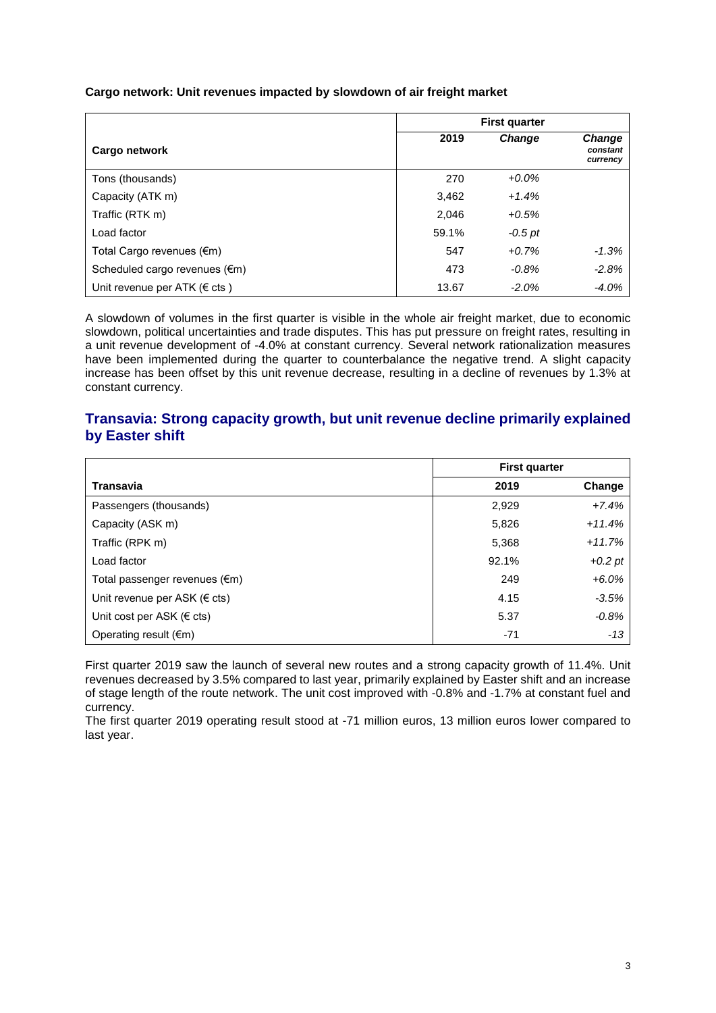**Cargo network: Unit revenues impacted by slowdown of air freight market** 

|                                         | <b>First quarter</b> |               |                                       |
|-----------------------------------------|----------------------|---------------|---------------------------------------|
| Cargo network                           | 2019                 | <b>Change</b> | <b>Change</b><br>constant<br>currency |
| Tons (thousands)                        | 270                  | $+0.0\%$      |                                       |
| Capacity (ATK m)                        | 3,462                | $+1.4%$       |                                       |
| Traffic (RTK m)                         | 2,046                | $+0.5%$       |                                       |
| Load factor                             | 59.1%                | $-0.5$ pt     |                                       |
| Total Cargo revenues (€m)               | 547                  | $+0.7%$       | $-1.3%$                               |
| Scheduled cargo revenues $(\epsilon m)$ | 473                  | $-0.8%$       | $-2.8%$                               |
| Unit revenue per ATK ( $\epsilon$ cts)  | 13.67                | $-2.0\%$      | $-4.0%$                               |

A slowdown of volumes in the first quarter is visible in the whole air freight market, due to economic slowdown, political uncertainties and trade disputes. This has put pressure on freight rates, resulting in a unit revenue development of -4.0% at constant currency. Several network rationalization measures have been implemented during the quarter to counterbalance the negative trend. A slight capacity increase has been offset by this unit revenue decrease, resulting in a decline of revenues by 1.3% at constant currency.

### **Transavia: Strong capacity growth, but unit revenue decline primarily explained by Easter shift**

|                                     | <b>First quarter</b> |           |
|-------------------------------------|----------------------|-----------|
| Transavia                           | 2019                 | Change    |
| Passengers (thousands)              | 2,929                | $+7.4%$   |
| Capacity (ASK m)                    | 5,826                | $+11.4%$  |
| Traffic (RPK m)                     | 5,368                | $+11.7%$  |
| Load factor                         | 92.1%                | $+0.2$ pt |
| Total passenger revenues (€m)       | 249                  | $+6.0%$   |
| Unit revenue per ASK ( $\in$ cts)   | 4.15                 | $-3.5%$   |
| Unit cost per ASK ( $\epsilon$ cts) | 5.37                 | $-0.8%$   |
| Operating result $(\epsilon m)$     | $-71$                | $-13$     |

First quarter 2019 saw the launch of several new routes and a strong capacity growth of 11.4%. Unit revenues decreased by 3.5% compared to last year, primarily explained by Easter shift and an increase of stage length of the route network. The unit cost improved with -0.8% and -1.7% at constant fuel and currency.

The first quarter 2019 operating result stood at -71 million euros, 13 million euros lower compared to last year.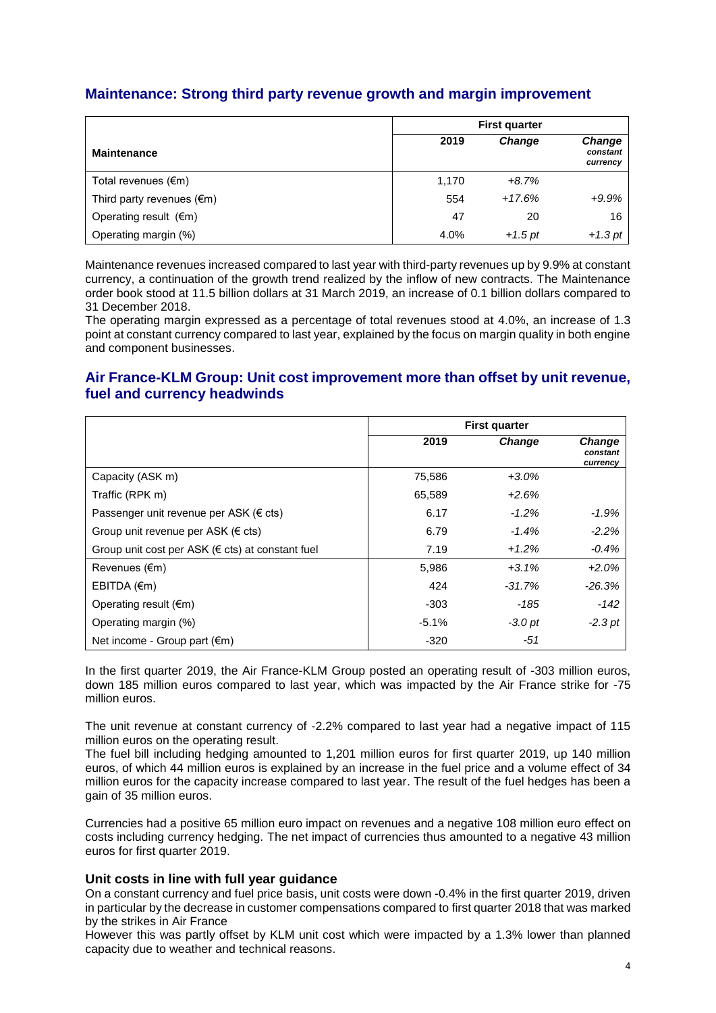## **Maintenance: Strong third party revenue growth and margin improvement**

|                                     | <b>First quarter</b> |           |                                |
|-------------------------------------|----------------------|-----------|--------------------------------|
| <b>Maintenance</b>                  | 2019                 | Change    | Change<br>constant<br>currency |
| Total revenues $(\epsilon m)$       | 1,170                | $+8.7%$   |                                |
| Third party revenues $(\epsilon m)$ | 554                  | $+17.6%$  | $+9.9%$                        |
| Operating result $(\epsilon m)$     | 47                   | 20        | 16                             |
| Operating margin (%)                | 4.0%                 | $+1.5$ pt | $+1.3$ pt                      |

Maintenance revenues increased compared to last year with third-party revenues up by 9.9% at constant currency, a continuation of the growth trend realized by the inflow of new contracts. The Maintenance order book stood at 11.5 billion dollars at 31 March 2019, an increase of 0.1 billion dollars compared to 31 December 2018.

The operating margin expressed as a percentage of total revenues stood at 4.0%, an increase of 1.3 point at constant currency compared to last year, explained by the focus on margin quality in both engine and component businesses.

### **Air France-KLM Group: Unit cost improvement more than offset by unit revenue, fuel and currency headwinds**

|                                                            |         | <b>First quarter</b> |                                |
|------------------------------------------------------------|---------|----------------------|--------------------------------|
|                                                            | 2019    | Change               | Change<br>constant<br>currency |
| Capacity (ASK m)                                           | 75,586  | $+3.0%$              |                                |
| Traffic (RPK m)                                            | 65,589  | $+2.6%$              |                                |
| Passenger unit revenue per ASK (€ cts)                     | 6.17    | $-1.2\%$             | $-1.9%$                        |
| Group unit revenue per ASK ( $\in$ cts)                    | 6.79    | $-1.4%$              | $-2.2%$                        |
| Group unit cost per ASK ( $\epsilon$ cts) at constant fuel | 7.19    | $+1.2%$              | $-0.4%$                        |
| Revenues (€m)                                              | 5,986   | $+3.1%$              | $+2.0%$                        |
| EBITDA (€m)                                                | 424     | $-31.7%$             | $-26.3%$                       |
| Operating result $(\epsilon m)$                            | $-303$  | -185                 | $-142$                         |
| Operating margin (%)                                       | $-5.1%$ | $-3.0pt$             | $-2.3$ pt                      |
| Net income - Group part $(\epsilon m)$                     | $-320$  | -51                  |                                |

In the first quarter 2019, the Air France-KLM Group posted an operating result of -303 million euros, down 185 million euros compared to last year, which was impacted by the Air France strike for -75 million euros.

The unit revenue at constant currency of -2.2% compared to last year had a negative impact of 115 million euros on the operating result.

The fuel bill including hedging amounted to 1,201 million euros for first quarter 2019, up 140 million euros, of which 44 million euros is explained by an increase in the fuel price and a volume effect of 34 million euros for the capacity increase compared to last year. The result of the fuel hedges has been a gain of 35 million euros.

Currencies had a positive 65 million euro impact on revenues and a negative 108 million euro effect on costs including currency hedging. The net impact of currencies thus amounted to a negative 43 million euros for first quarter 2019.

#### **Unit costs in line with full year guidance**

On a constant currency and fuel price basis, unit costs were down -0.4% in the first quarter 2019, driven in particular by the decrease in customer compensations compared to first quarter 2018 that was marked by the strikes in Air France

However this was partly offset by KLM unit cost which were impacted by a 1.3% lower than planned capacity due to weather and technical reasons.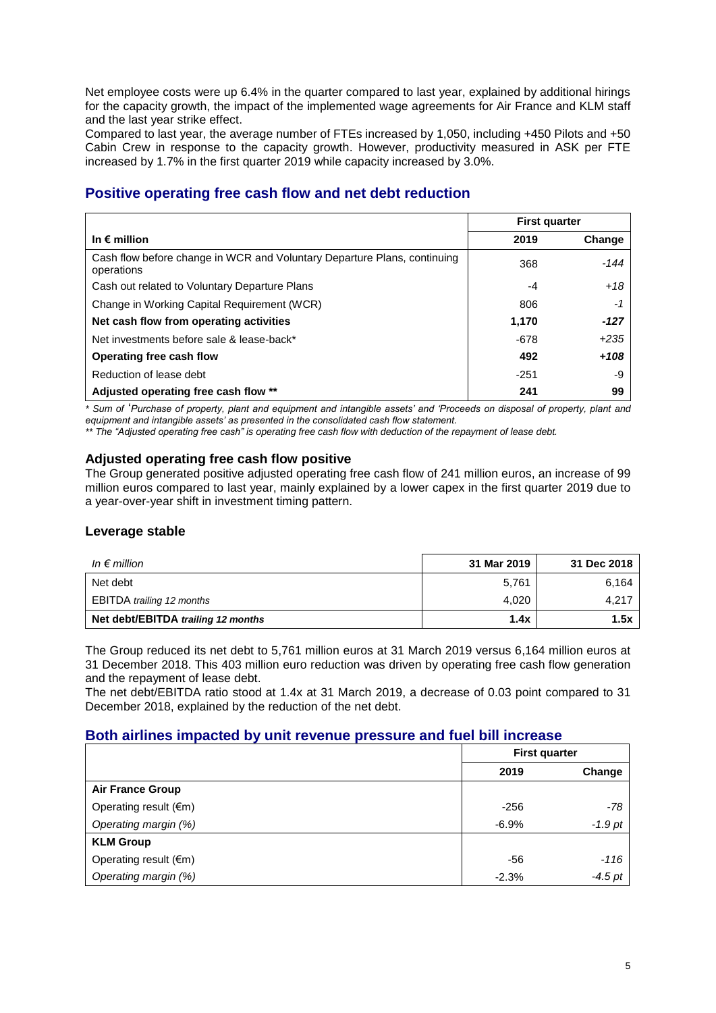Net employee costs were up 6.4% in the quarter compared to last year, explained by additional hirings for the capacity growth, the impact of the implemented wage agreements for Air France and KLM staff and the last year strike effect.

Compared to last year, the average number of FTEs increased by 1,050, including +450 Pilots and +50 Cabin Crew in response to the capacity growth. However, productivity measured in ASK per FTE increased by 1.7% in the first quarter 2019 while capacity increased by 3.0%.

## **Positive operating free cash flow and net debt reduction**

|                                                                                        | <b>First quarter</b> |        |
|----------------------------------------------------------------------------------------|----------------------|--------|
| In $\epsilon$ million                                                                  | 2019                 | Change |
| Cash flow before change in WCR and Voluntary Departure Plans, continuing<br>operations | 368                  | -144   |
| Cash out related to Voluntary Departure Plans                                          | -4                   | $+18$  |
| Change in Working Capital Requirement (WCR)                                            | 806                  | -1     |
| Net cash flow from operating activities                                                | 1,170                | $-127$ |
| Net investments before sale & lease-back*                                              | -678                 | $+235$ |
| Operating free cash flow                                                               | 492                  | $+108$ |
| Reduction of lease debt                                                                | $-251$               | -9     |
| Adjusted operating free cash flow **                                                   | 241                  | 99     |

*\* Sum of* '*Purchase of property, plant and equipment and intangible assets' and 'Proceeds on disposal of property, plant and equipment and intangible assets' as presented in the consolidated cash flow statement.*

*\*\* The "Adjusted operating free cash" is operating free cash flow with deduction of the repayment of lease debt.*

### **Adjusted operating free cash flow positive**

The Group generated positive adjusted operating free cash flow of 241 million euros, an increase of 99 million euros compared to last year, mainly explained by a lower capex in the first quarter 2019 due to a year-over-year shift in investment timing pattern.

#### **Leverage stable**

| In $\epsilon$ million              | 31 Mar 2019 | 31 Dec 2018 |
|------------------------------------|-------------|-------------|
| Net debt                           | 5,761       | 6,164       |
| EBITDA trailing 12 months          | 4.020       | 4,217       |
| Net debt/EBITDA trailing 12 months | 1.4x        | 1.5x        |

The Group reduced its net debt to 5,761 million euros at 31 March 2019 versus 6,164 million euros at 31 December 2018. This 403 million euro reduction was driven by operating free cash flow generation and the repayment of lease debt.

The net debt/EBITDA ratio stood at 1.4x at 31 March 2019, a decrease of 0.03 point compared to 31 December 2018, explained by the reduction of the net debt.

### **Both airlines impacted by unit revenue pressure and fuel bill increase**

|                         | <b>First quarter</b> |           |
|-------------------------|----------------------|-----------|
|                         | 2019                 | Change    |
| <b>Air France Group</b> |                      |           |
| Operating result (€m)   | $-256$               | -78       |
| Operating margin (%)    | $-6.9%$              | $-1.9$ pt |
| <b>KLM Group</b>        |                      |           |
| Operating result (€m)   | -56                  | -116      |
| Operating margin (%)    | $-2.3%$              | $-4.5$ pt |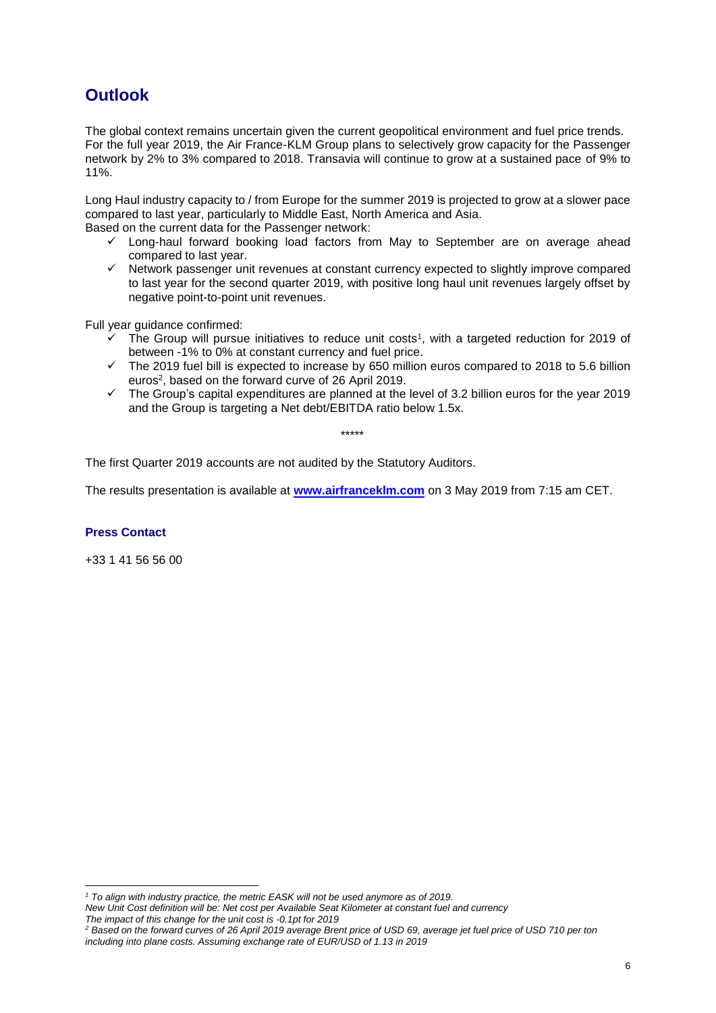# **Outlook**

The global context remains uncertain given the current geopolitical environment and fuel price trends. For the full year 2019, the Air France-KLM Group plans to selectively grow capacity for the Passenger network by 2% to 3% compared to 2018. Transavia will continue to grow at a sustained pace of 9% to 11%.

Long Haul industry capacity to / from Europe for the summer 2019 is projected to grow at a slower pace compared to last year, particularly to Middle East, North America and Asia.

Based on the current data for the Passenger network:

- $\checkmark$  Long-haul forward booking load factors from May to September are on average ahead compared to last year.
- $\checkmark$  Network passenger unit revenues at constant currency expected to slightly improve compared to last year for the second quarter 2019, with positive long haul unit revenues largely offset by negative point-to-point unit revenues.

Full year guidance confirmed:

- $\checkmark$  The Group will pursue initiatives to reduce unit costs<sup>1</sup>, with a targeted reduction for 2019 of between -1% to 0% at constant currency and fuel price.
- $\checkmark$  The 2019 fuel bill is expected to increase by 650 million euros compared to 2018 to 5.6 billion euros<sup>2</sup>, based on the forward curve of 26 April 2019.
- $\checkmark$  The Group's capital expenditures are planned at the level of 3.2 billion euros for the year 2019 and the Group is targeting a Net debt/EBITDA ratio below 1.5x.

\*\*\*\*\*

The first Quarter 2019 accounts are not audited by the Statutory Auditors.

The results presentation is available at **www.airfranceklm.com** on 3 May 2019 from 7:15 am CET.

#### **Press Contact**

 $\overline{\phantom{a}}$ 

+33 1 41 56 56 00

*<sup>1</sup> To align with industry practice, the metric EASK will not be used anymore as of 2019.*

*New Unit Cost definition will be: Net cost per Available Seat Kilometer at constant fuel and currency The impact of this change for the unit cost is -0.1pt for 2019*

*<sup>2</sup> Based on the forward curves of 26 April 2019 average Brent price of USD 69, average jet fuel price of USD 710 per ton including into plane costs. Assuming exchange rate of EUR/USD of 1.13 in 2019*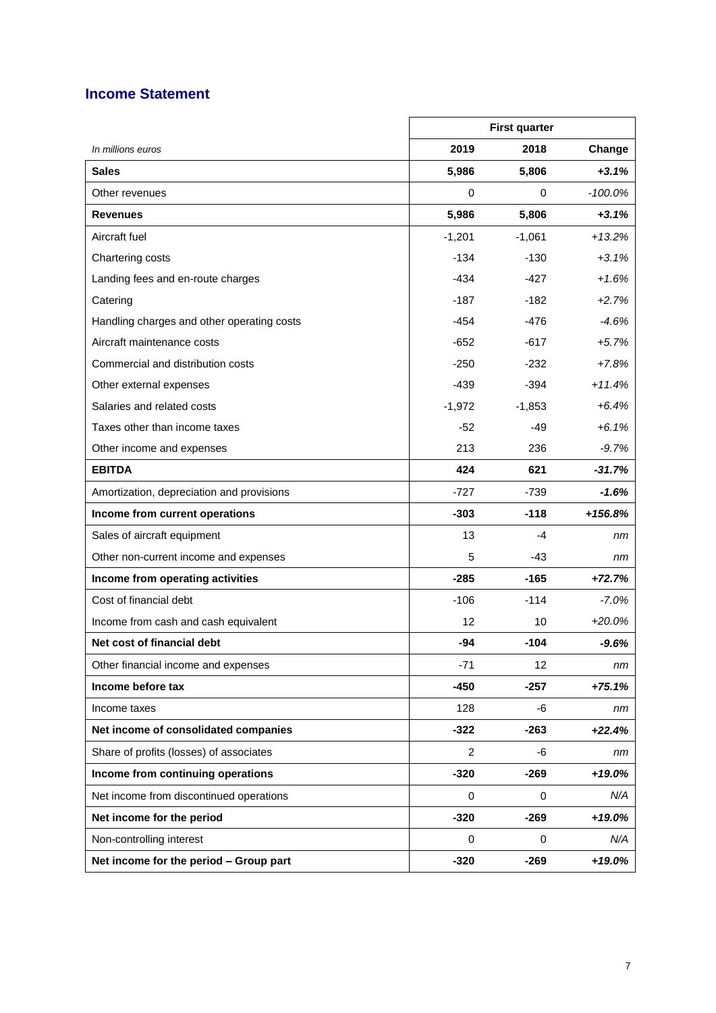# **Income Statement**

|                                            |                | <b>First quarter</b> |            |
|--------------------------------------------|----------------|----------------------|------------|
| In millions euros                          | 2019           | 2018                 | Change     |
| <b>Sales</b>                               | 5,986          | 5,806                | $+3.1%$    |
| Other revenues                             | 0              | 0                    | $-100.0\%$ |
| <b>Revenues</b>                            | 5,986          | 5,806                | $+3.1%$    |
| Aircraft fuel                              | $-1,201$       | $-1,061$             | $+13.2%$   |
| Chartering costs                           | $-134$         | -130                 | $+3.1%$    |
| Landing fees and en-route charges          | $-434$         | -427                 | $+1.6%$    |
| Catering                                   | $-187$         | -182                 | $+2.7%$    |
| Handling charges and other operating costs | -454           | -476                 | $-4.6%$    |
| Aircraft maintenance costs                 | -652           | -617                 | $+5.7%$    |
| Commercial and distribution costs          | $-250$         | -232                 | $+7.8%$    |
| Other external expenses                    | $-439$         | $-394$               | $+11.4%$   |
| Salaries and related costs                 | $-1,972$       | $-1,853$             | $+6.4%$    |
| Taxes other than income taxes              | $-52$          | $-49$                | $+6.1%$    |
| Other income and expenses                  | 213            | 236                  | $-9.7%$    |
| <b>EBITDA</b>                              | 424            | 621                  | $-31.7%$   |
| Amortization, depreciation and provisions  | $-727$         | $-739$               | $-1.6%$    |
| Income from current operations             | $-303$         | $-118$               | $+156.8%$  |
| Sales of aircraft equipment                | 13             | -4                   | nm         |
| Other non-current income and expenses      | 5              | -43                  | nm         |
| Income from operating activities           | $-285$         | $-165$               | $+72.7%$   |
| Cost of financial debt                     | $-106$         | $-114$               | $-7.0%$    |
| Income from cash and cash equivalent       | 12             | 10                   | $+20.0%$   |
| Net cost of financial debt                 | -94            | -104                 | $-9.6%$    |
| Other financial income and expenses        | $-71$          | 12                   | nm         |
| Income before tax                          | $-450$         | $-257$               | $+75.1%$   |
| Income taxes                               | 128            | -6                   | nm         |
| Net income of consolidated companies       | $-322$         | $-263$               | $+22.4%$   |
| Share of profits (losses) of associates    | $\overline{c}$ | -6                   | nm         |
| Income from continuing operations          | $-320$         | $-269$               | $+19.0%$   |
| Net income from discontinued operations    | 0              | 0                    | N/A        |
| Net income for the period                  | $-320$         | $-269$               | $+19.0\%$  |
| Non-controlling interest                   | 0              | 0                    | N/A        |
| Net income for the period - Group part     | $-320$         | $-269$               | $+19.0%$   |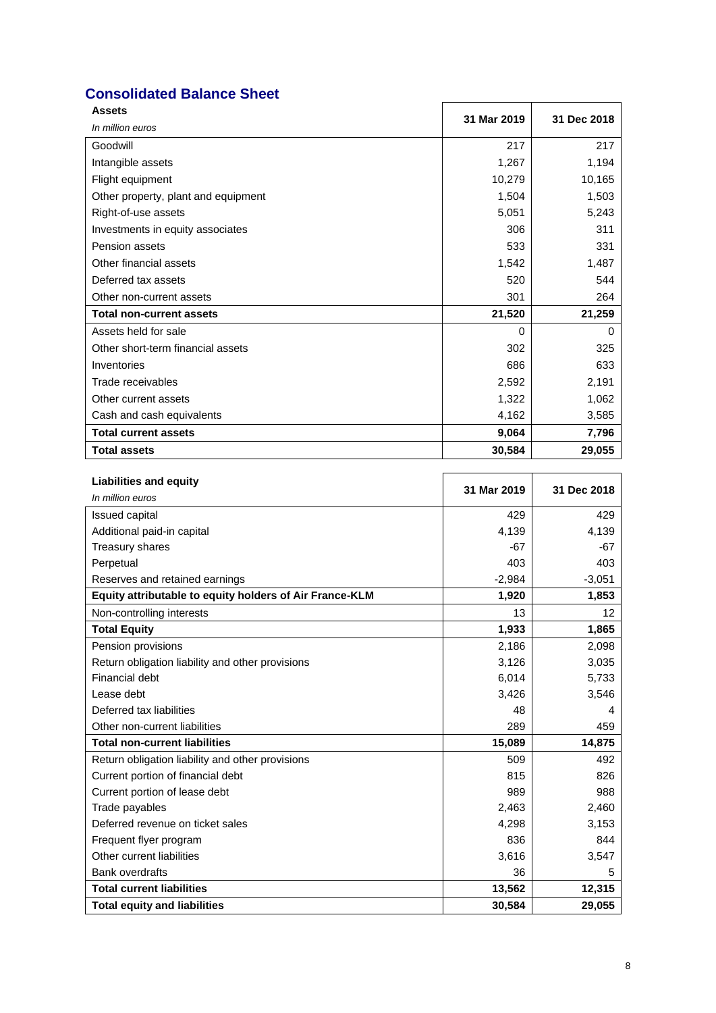# **Consolidated Balance Sheet**

| <b>Assets</b>                       | 31 Mar 2019 | 31 Dec 2018 |
|-------------------------------------|-------------|-------------|
| In million euros                    |             |             |
| Goodwill                            | 217         | 217         |
| Intangible assets                   | 1,267       | 1,194       |
| Flight equipment                    | 10,279      | 10,165      |
| Other property, plant and equipment | 1,504       | 1,503       |
| Right-of-use assets                 | 5,051       | 5,243       |
| Investments in equity associates    | 306         | 311         |
| Pension assets                      | 533         | 331         |
| Other financial assets              | 1,542       | 1,487       |
| Deferred tax assets                 | 520         | 544         |
| Other non-current assets            | 301         | 264         |
| <b>Total non-current assets</b>     | 21,520      | 21,259      |
| Assets held for sale                | $\Omega$    | $\Omega$    |
| Other short-term financial assets   | 302         | 325         |
| Inventories                         | 686         | 633         |
| Trade receivables                   | 2,592       | 2,191       |
| Other current assets                | 1,322       | 1,062       |
| Cash and cash equivalents           | 4,162       | 3,585       |
| <b>Total current assets</b>         | 9,064       | 7,796       |
| <b>Total assets</b>                 | 30,584      | 29,055      |

| <b>Liabilities and equity</b>                           | 31 Mar 2019 | 31 Dec 2018     |
|---------------------------------------------------------|-------------|-----------------|
| In million euros                                        |             |                 |
| <b>Issued capital</b>                                   | 429         | 429             |
| Additional paid-in capital                              | 4,139       | 4,139           |
| Treasury shares                                         | $-67$       | $-67$           |
| Perpetual                                               | 403         | 403             |
| Reserves and retained earnings                          | $-2,984$    | $-3,051$        |
| Equity attributable to equity holders of Air France-KLM | 1,920       | 1,853           |
| Non-controlling interests                               | 13          | 12 <sup>2</sup> |
| <b>Total Equity</b>                                     | 1,933       | 1,865           |
| Pension provisions                                      | 2,186       | 2,098           |
| Return obligation liability and other provisions        | 3,126       | 3,035           |
| <b>Financial debt</b>                                   | 6,014       | 5,733           |
| Lease debt                                              | 3,426       | 3,546           |
| Deferred tax liabilities                                | 48          | 4               |
| Other non-current liabilities                           | 289         | 459             |
| <b>Total non-current liabilities</b>                    | 15,089      | 14,875          |
| Return obligation liability and other provisions        | 509         | 492             |
| Current portion of financial debt                       | 815         | 826             |
| Current portion of lease debt                           | 989         | 988             |
| Trade payables                                          | 2,463       | 2,460           |
| Deferred revenue on ticket sales                        | 4,298       | 3,153           |
| Frequent flyer program                                  | 836         | 844             |
| Other current liabilities                               | 3,616       | 3,547           |
| <b>Bank overdrafts</b>                                  | 36          | 5               |
| <b>Total current liabilities</b>                        | 13,562      | 12,315          |
| <b>Total equity and liabilities</b>                     | 30,584      | 29,055          |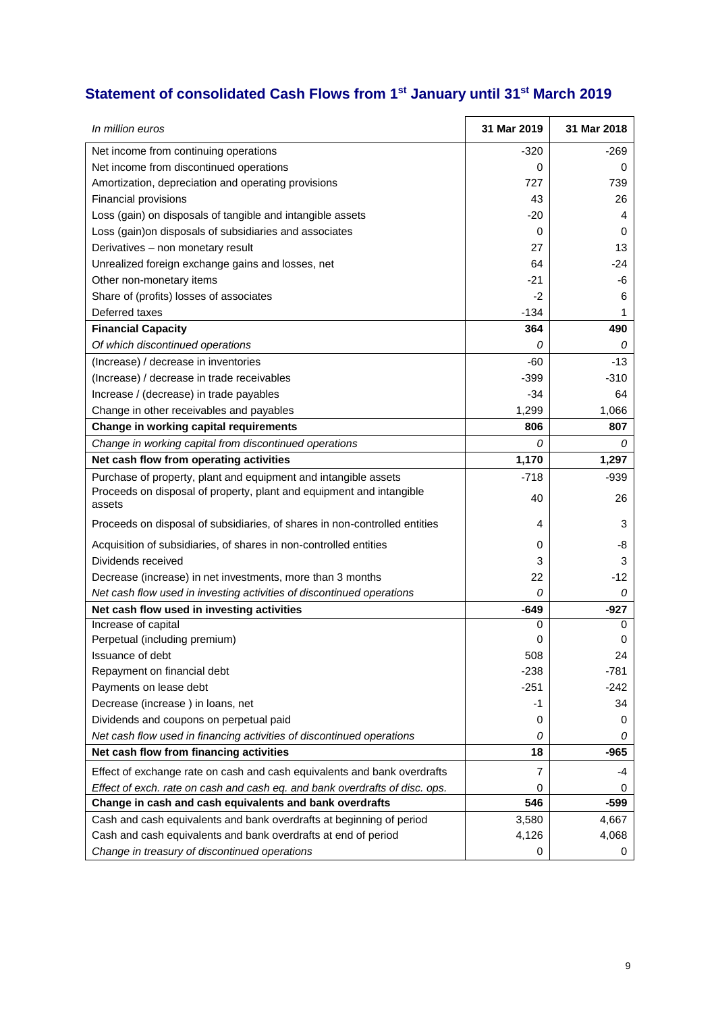# **Statement of consolidated Cash Flows from 1st January until 31st March 2019**

| In million euros                                                               | 31 Mar 2019 | 31 Mar 2018 |
|--------------------------------------------------------------------------------|-------------|-------------|
| Net income from continuing operations                                          | -320        | -269        |
| Net income from discontinued operations                                        | 0           | 0           |
| Amortization, depreciation and operating provisions                            | 727         | 739         |
| Financial provisions                                                           | 43          | 26          |
| Loss (gain) on disposals of tangible and intangible assets                     | $-20$       | 4           |
| Loss (gain) on disposals of subsidiaries and associates                        | 0           | 0           |
| Derivatives - non monetary result                                              | 27          | 13          |
| Unrealized foreign exchange gains and losses, net                              | 64          | -24         |
| Other non-monetary items                                                       | -21         | -6          |
| Share of (profits) losses of associates                                        | $-2$        | 6           |
| Deferred taxes                                                                 | $-134$      | 1           |
| <b>Financial Capacity</b>                                                      | 364         | 490         |
| Of which discontinued operations                                               | 0           | 0           |
| (Increase) / decrease in inventories                                           | $-60$       | $-13$       |
| (Increase) / decrease in trade receivables                                     | $-399$      | $-310$      |
| Increase / (decrease) in trade payables                                        | $-34$       | 64          |
| Change in other receivables and payables                                       | 1,299       | 1,066       |
| Change in working capital requirements                                         | 806         | 807         |
| Change in working capital from discontinued operations                         | 0           | 0           |
| Net cash flow from operating activities                                        | 1,170       | 1,297       |
| Purchase of property, plant and equipment and intangible assets                | $-718$      | $-939$      |
| Proceeds on disposal of property, plant and equipment and intangible<br>assets | 40          | 26          |
| Proceeds on disposal of subsidiaries, of shares in non-controlled entities     | 4           | 3           |
| Acquisition of subsidiaries, of shares in non-controlled entities              | 0           | -8          |
| Dividends received                                                             | 3           | 3           |
| Decrease (increase) in net investments, more than 3 months                     | 22          | $-12$       |
| Net cash flow used in investing activities of discontinued operations          | 0           | 0           |
| Net cash flow used in investing activities                                     | $-649$      | $-927$      |
| Increase of capital                                                            | 0           | 0           |
| Perpetual (including premium)                                                  | 0           | 0           |
| Issuance of debt                                                               | 508         | 24          |
| Repayment on financial debt                                                    | $-238$      | -781        |
| Payments on lease debt                                                         | $-251$      | $-242$      |
| Decrease (increase) in loans, net                                              | -1          | 34          |
| Dividends and coupons on perpetual paid                                        | 0           | 0           |
| Net cash flow used in financing activities of discontinued operations          | 0           | 0           |
| Net cash flow from financing activities                                        | 18          | -965        |
| Effect of exchange rate on cash and cash equivalents and bank overdrafts       | 7           | -4          |
| Effect of exch. rate on cash and cash eq. and bank overdrafts of disc. ops.    | 0           | 0           |
| Change in cash and cash equivalents and bank overdrafts                        | 546         | $-599$      |
| Cash and cash equivalents and bank overdrafts at beginning of period           | 3,580       | 4,667       |
| Cash and cash equivalents and bank overdrafts at end of period                 | 4,126       | 4,068       |
| Change in treasury of discontinued operations                                  | 0           | 0           |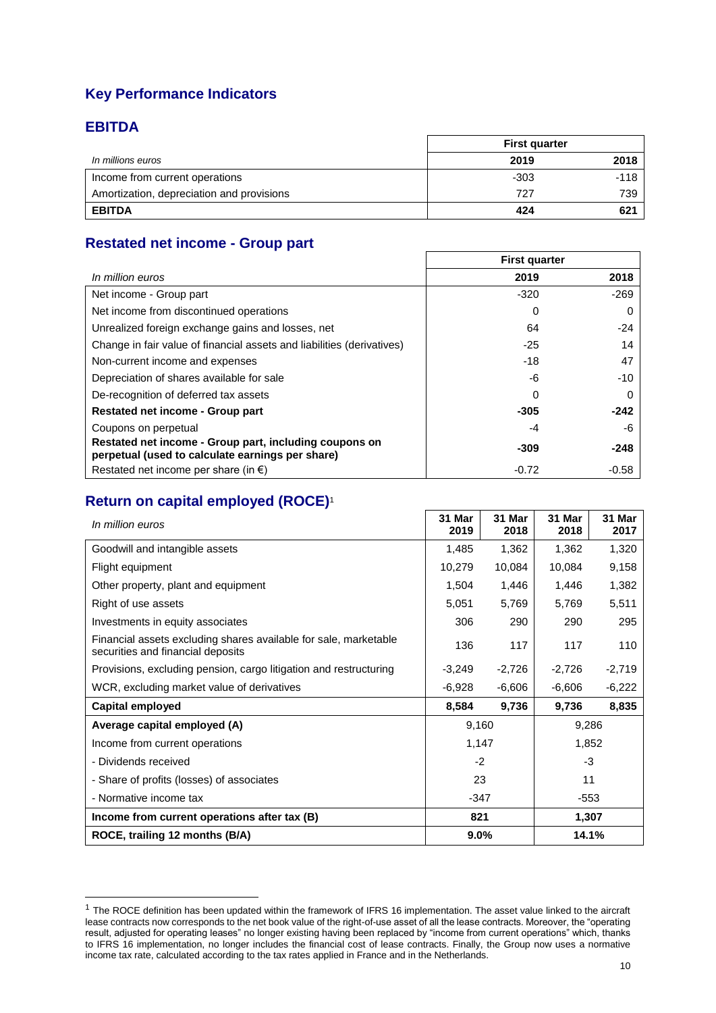# **Key Performance Indicators**

## **EBITDA**

 $\overline{\phantom{a}}$ 

|                                           | <b>First quarter</b> |        |  |
|-------------------------------------------|----------------------|--------|--|
| In millions euros                         | 2019                 | 2018   |  |
| Income from current operations            | $-303$               | $-118$ |  |
| Amortization, depreciation and provisions | 727                  | 739    |  |
| <b>EBITDA</b>                             | 424                  | 621    |  |

# **Restated net income - Group part**

|                                                                                                            | <b>First quarter</b> |          |
|------------------------------------------------------------------------------------------------------------|----------------------|----------|
| In million euros                                                                                           | 2019                 | 2018     |
| Net income - Group part                                                                                    | $-320$               | $-269$   |
| Net income from discontinued operations                                                                    | 0                    | $\Omega$ |
| Unrealized foreign exchange gains and losses, net                                                          | 64                   | -24      |
| Change in fair value of financial assets and liabilities (derivatives)                                     | $-25$                | 14       |
| Non-current income and expenses                                                                            | $-18$                | 47       |
| Depreciation of shares available for sale                                                                  | -6                   | -10      |
| De-recognition of deferred tax assets                                                                      | 0                    |          |
| Restated net income - Group part                                                                           | $-305$               | $-242$   |
| Coupons on perpetual                                                                                       | -4                   | -6       |
| Restated net income - Group part, including coupons on<br>perpetual (used to calculate earnings per share) | -309                 | $-248$   |
| Restated net income per share (in $\epsilon$ )                                                             | $-0.72$              | $-0.58$  |

# **Return on capital employed (ROCE)**<sup>1</sup>

| In million euros                                                                                      | 31 Mar<br>2019 | 31 Mar<br>2018 | 31 Mar<br>2018       | 31 Mar<br>2017 |  |  |
|-------------------------------------------------------------------------------------------------------|----------------|----------------|----------------------|----------------|--|--|
| Goodwill and intangible assets                                                                        | 1,485          | 1,362          | 1,362                | 1,320          |  |  |
| Flight equipment                                                                                      | 10,279         | 10,084         | 10,084<br>9,158      |                |  |  |
| Other property, plant and equipment                                                                   | 1,504          | 1,446          | 1,382<br>1,446       |                |  |  |
| Right of use assets                                                                                   | 5,051          | 5,769          | 5,769<br>5,511       |                |  |  |
| Investments in equity associates                                                                      | 306            | 290            | 295<br>290           |                |  |  |
| Financial assets excluding shares available for sale, marketable<br>securities and financial deposits | 136            | 117            | 117                  | 110            |  |  |
| Provisions, excluding pension, cargo litigation and restructuring                                     | $-3,249$       | $-2,726$       | $-2,726$             | $-2,719$       |  |  |
| WCR, excluding market value of derivatives                                                            | $-6,928$       | $-6,606$       | $-6,606$<br>$-6,222$ |                |  |  |
| <b>Capital employed</b>                                                                               | 8,584          | 9,736          | 8,835<br>9,736       |                |  |  |
| Average capital employed (A)                                                                          | 9,160          |                | 9,286                |                |  |  |
| Income from current operations                                                                        | 1,147          | 1,852          |                      |                |  |  |
| - Dividends received                                                                                  | $-2$           |                | $-3$                 |                |  |  |
| - Share of profits (losses) of associates                                                             | 23             |                | 11                   |                |  |  |
| - Normative income tax                                                                                | $-347$         |                | $-553$               |                |  |  |
| Income from current operations after tax (B)                                                          | 821<br>1,307   |                |                      |                |  |  |
| ROCE, trailing 12 months (B/A)                                                                        | 9.0%<br>14.1%  |                |                      |                |  |  |

<sup>&</sup>lt;sup>1</sup> The ROCE definition has been updated within the framework of IFRS 16 implementation. The asset value linked to the aircraft lease contracts now corresponds to the net book value of the right-of-use asset of all the lease contracts. Moreover, the "operating result, adjusted for operating leases" no longer existing having been replaced by "income from current operations" which, thanks to IFRS 16 implementation, no longer includes the financial cost of lease contracts. Finally, the Group now uses a normative income tax rate, calculated according to the tax rates applied in France and in the Netherlands.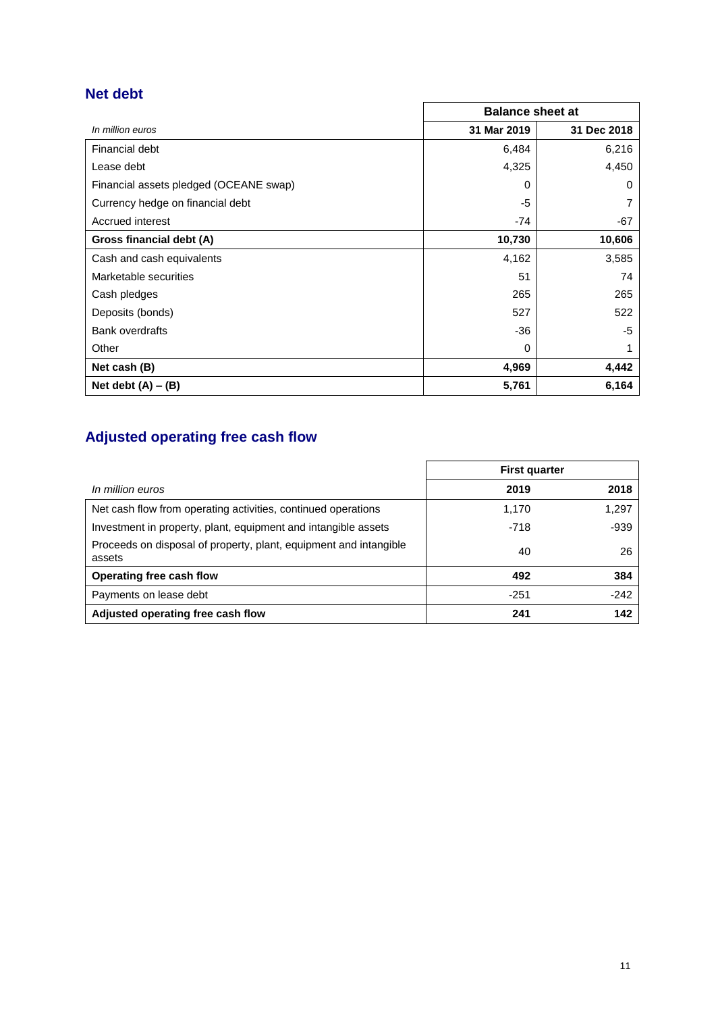# **Net debt**

|                                        | <b>Balance sheet at</b> |             |  |  |
|----------------------------------------|-------------------------|-------------|--|--|
| In million euros                       | 31 Mar 2019             | 31 Dec 2018 |  |  |
| Financial debt                         | 6,484                   | 6,216       |  |  |
| Lease debt                             | 4,325                   | 4,450       |  |  |
| Financial assets pledged (OCEANE swap) | 0                       | 0           |  |  |
| Currency hedge on financial debt       | -5                      |             |  |  |
| Accrued interest                       | $-74$                   | -67         |  |  |
| Gross financial debt (A)               | 10,730                  | 10,606      |  |  |
| Cash and cash equivalents              | 4,162                   | 3,585       |  |  |
| Marketable securities                  | 51                      | 74          |  |  |
| Cash pledges                           | 265                     | 265         |  |  |
| Deposits (bonds)                       | 527                     | 522         |  |  |
| <b>Bank overdrafts</b>                 | -36                     | -5          |  |  |
| Other                                  | 0                       |             |  |  |
| Net cash (B)                           | 4,969                   | 4,442       |  |  |
| Net debt $(A) - (B)$                   | 5,761                   | 6,164       |  |  |

# **Adjusted operating free cash flow**

|                                                                             | <b>First quarter</b> |        |  |
|-----------------------------------------------------------------------------|----------------------|--------|--|
| In million euros                                                            | 2019                 | 2018   |  |
| Net cash flow from operating activities, continued operations               | 1,170                | 1,297  |  |
| Investment in property, plant, equipment and intangible assets              | $-718$               | $-939$ |  |
| Proceeds on disposal of property, plant, equipment and intangible<br>assets | 40                   | 26     |  |
| Operating free cash flow                                                    | 492                  | 384    |  |
| Payments on lease debt                                                      | $-251$               | $-242$ |  |
| Adjusted operating free cash flow                                           | 241                  | 142    |  |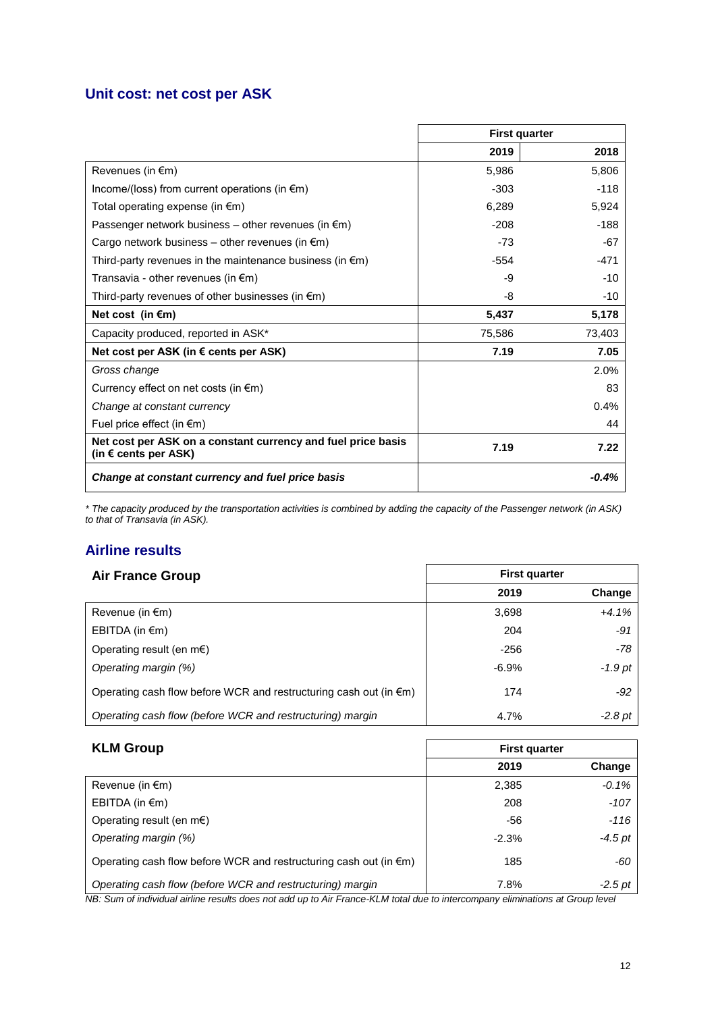## **Unit cost: net cost per ASK**

|                                                                                      |        | <b>First quarter</b> |
|--------------------------------------------------------------------------------------|--------|----------------------|
|                                                                                      | 2019   | 2018                 |
| Revenues (in $\epsilon$ m)                                                           | 5,986  | 5,806                |
| Income/(loss) from current operations (in $\epsilon$ m)                              | $-303$ | $-118$               |
| Total operating expense (in $\epsilon$ m)                                            | 6,289  | 5,924                |
| Passenger network business – other revenues (in $\epsilon$ m)                        | $-208$ | $-188$               |
| Cargo network business – other revenues (in $\epsilon$ m)                            | $-73$  | -67                  |
| Third-party revenues in the maintenance business (in $\epsilon$ m)                   | $-554$ | -471                 |
| Transavia - other revenues (in $\epsilon$ m)                                         | -9     | $-10$                |
| Third-party revenues of other businesses (in $\epsilon$ m)                           | -8     | $-10$                |
| Net cost (in $\epsilon$ m)                                                           | 5,437  | 5,178                |
| Capacity produced, reported in ASK*                                                  | 75,586 | 73,403               |
| Net cost per ASK (in € cents per ASK)                                                | 7.19   | 7.05                 |
| Gross change                                                                         |        | 2.0%                 |
| Currency effect on net costs (in $\epsilon$ m)                                       |        | 83                   |
| Change at constant currency                                                          |        | 0.4%                 |
| Fuel price effect (in $\epsilon$ m)                                                  |        | 44                   |
| Net cost per ASK on a constant currency and fuel price basis<br>(in € cents per ASK) | 7.19   | 7.22                 |
| Change at constant currency and fuel price basis                                     |        | $-0.4%$              |

*\* The capacity produced by the transportation activities is combined by adding the capacity of the Passenger network (in ASK) to that of Transavia (in ASK).*

## **Airline results**

| <b>Air France Group</b>                                                     |         | <b>First quarter</b> |
|-----------------------------------------------------------------------------|---------|----------------------|
|                                                                             | 2019    | Change               |
| Revenue (in $\epsilon$ m)                                                   | 3,698   | $+4.1%$              |
| EBITDA (in $\epsilon$ m)                                                    | 204     | $-91$                |
| Operating result (en $m \in$ )                                              | $-256$  | $-78$                |
| Operating margin (%)                                                        | $-6.9%$ | $-1.9$ pt            |
| Operating cash flow before WCR and restructuring cash out (in $\epsilon$ m) | 174     | -92                  |
| Operating cash flow (before WCR and restructuring) margin                   | 4.7%    | $-2.8$ pt            |

| <b>KLM Group</b>                                                            | <b>First quarter</b> |           |  |  |
|-----------------------------------------------------------------------------|----------------------|-----------|--|--|
|                                                                             | 2019                 | Change    |  |  |
| Revenue (in $\epsilon$ m)                                                   | 2,385                | $-0.1%$   |  |  |
| EBITDA (in $\epsilon$ m)                                                    | 208                  | $-107$    |  |  |
| Operating result (en $m \in \mathbb{R}$ )                                   | -56                  | -116      |  |  |
| Operating margin (%)                                                        | $-2.3%$              | $-4.5$ pt |  |  |
| Operating cash flow before WCR and restructuring cash out (in $\epsilon$ m) | 185                  | -60       |  |  |
| Operating cash flow (before WCR and restructuring) margin                   | 7.8%                 | $-2.5$ pt |  |  |

*NB: Sum of individual airline results does not add up to Air France-KLM total due to intercompany eliminations at Group level*